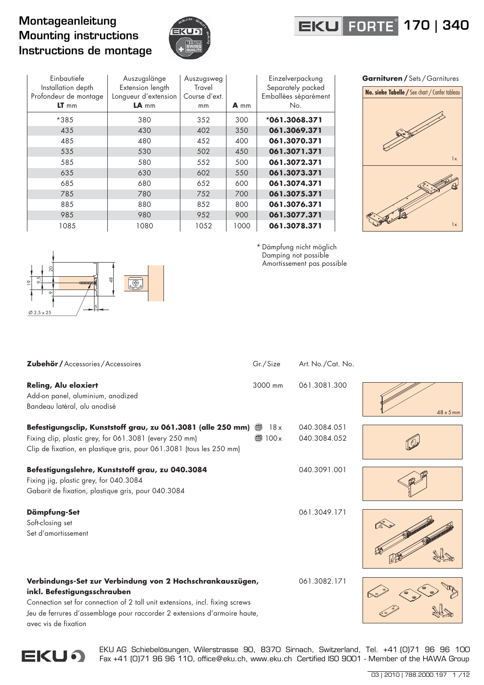## Montageanleitung Mounting instructions Instructions de montage



## **EKU FORTE** 170 | 340

| Einbautiefe<br>Installation depth<br>Profondeur de montage<br>$LT$ mm | Auszugslänge<br>Extension length<br>Longueur d'extension<br>$LA$ <sub>mm</sub> | Auszugsweg<br>Travel<br>Course d'ext.<br>mm | A mm | Einzelverpackung<br>Separately packed<br>Emballées séparément<br>No. |
|-----------------------------------------------------------------------|--------------------------------------------------------------------------------|---------------------------------------------|------|----------------------------------------------------------------------|
| *385                                                                  | 380                                                                            | 352                                         | 300  | $*061.3068.371$                                                      |
| 435                                                                   | 430                                                                            | 402                                         | 350  | 061.3069.371                                                         |
| 485                                                                   | 480                                                                            | 452                                         | 400  | 061.3070.371                                                         |
| 535                                                                   | 530                                                                            | 502                                         | 450  | 061.3071.371                                                         |
| 585                                                                   | 580                                                                            | 552                                         | 500  | 061.3072.371                                                         |
| 635                                                                   | 630                                                                            | 602                                         | 550  | 061.3073.371                                                         |
| 685                                                                   | 680                                                                            | 652                                         | 600  | 061.3074.371                                                         |
| 785                                                                   | 780                                                                            | 752                                         | 700  | 061.3075.371                                                         |
| 885                                                                   | 880                                                                            | 852                                         | 800  | 061.3076.371                                                         |
| 985                                                                   | 980                                                                            | 952                                         | 900  | 061.3077.371                                                         |
| 1085                                                                  | 1080                                                                           | 1052                                        | 1000 | 061.3078.371                                                         |





\* Dämpfung nicht möglich Damping not possible Amortissement pas possible

**Zubehör /** Accessories / Accessoires Gr./Size Art. No./Cat. No. **Reling, Alu eloxiert** 3000 mm 061.3081.300 Add-on panel, aluminium, anodized Bandeau latéral, alu anodisé **Befestigungsclip, Kunststoff grau, zu 061.3081 (alle 250 mm)**  $\bigoplus$  18x 040.3084.051 Fixing clip, plastic grey, for 061.3081 (every 250 mm) 100x 040.3084.052 Clip de fixation, en plastique gris, pour 061.3081 (tous les 250 mm) **Befestigungslehre, Kunststoff grau, zu 040.3084** 040.3091.001 Fixing jig, plastic grey, for 040.3084 Gabarit de fixation, plastique gris, pour 040.3084 **Dämpfung-Set** 061.3049.171 Soft-closing set Set d'amortissement **Verbindungs-Set zur Verbindung von 2 Hochschrankauszügen,** 061.3082.171

48 x 5mm

avec vis de fixation

**inkl. Befestigungsschrauben**

Connection set for connection of 2 tall unit extensions, incl. fixing screws Jeu de ferrures d'assemblage pour raccorder 2 extensions d'armoire haute,

> EKU AG Schiebelösungen, Wilerstrasse 90, 8370 Sirnach, Switzerland, Tel. +41 [0]71 96 96 100 Fax +41 (0)71 96 96 110, office@eku.ch, www.eku.ch Certified ISO 9001 - Member of the HAWA Group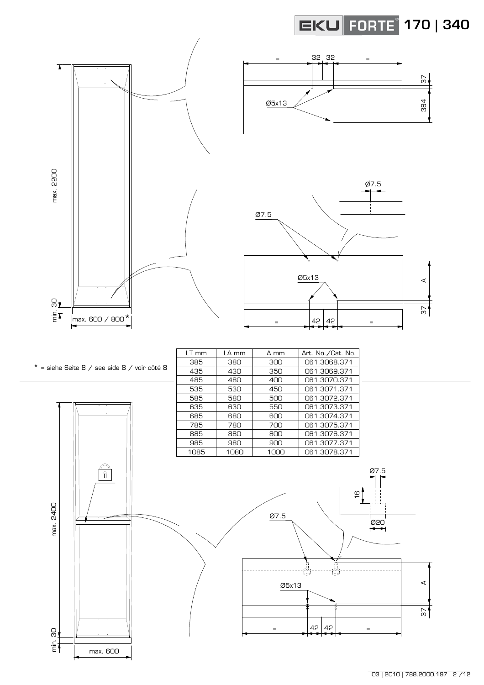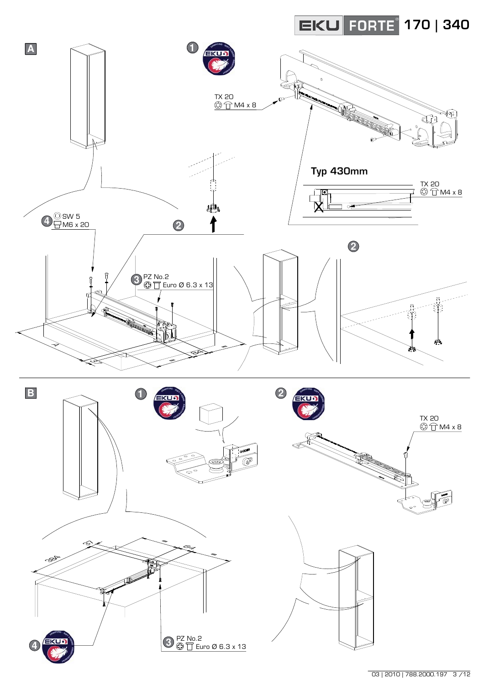

 $\overline{03 | 2010 | 788.2000.197}$  3/12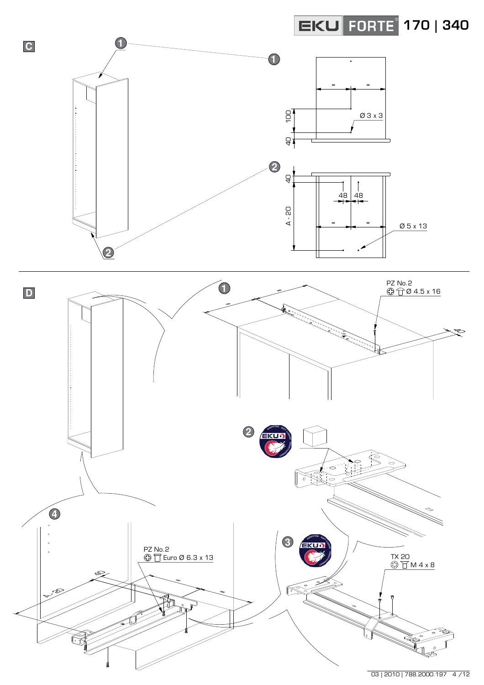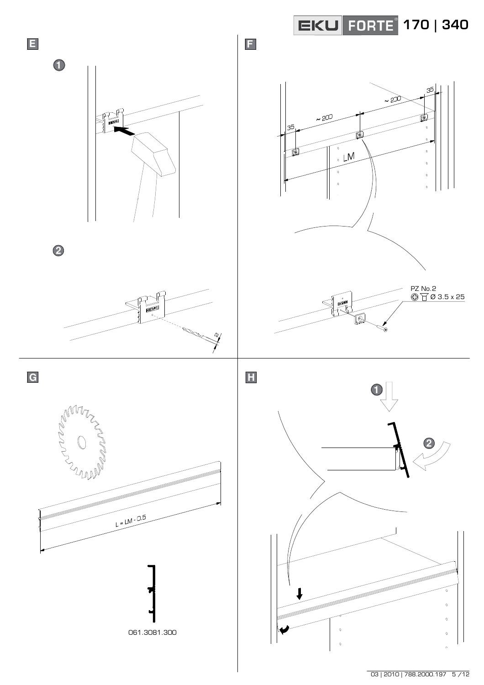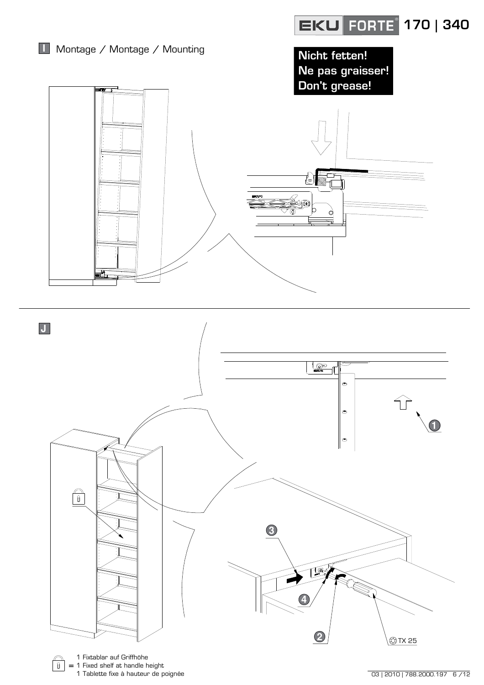

 $\overline{03 | 2010 | 788.2000.197}$  6/12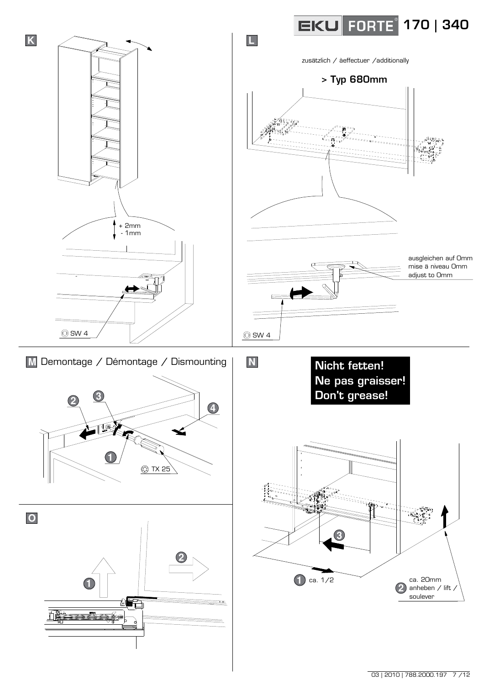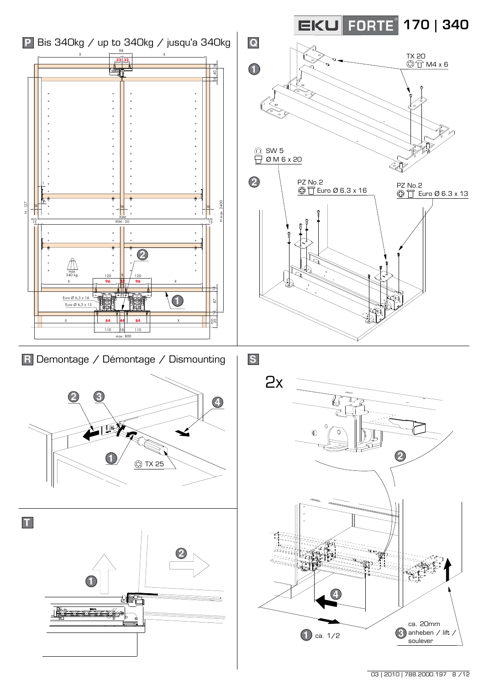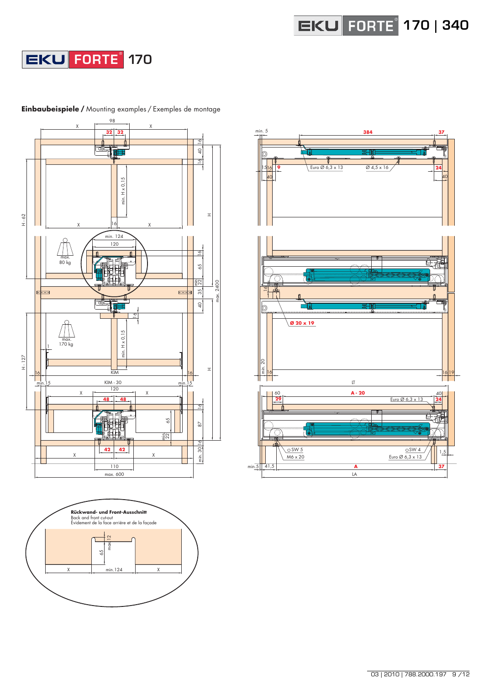







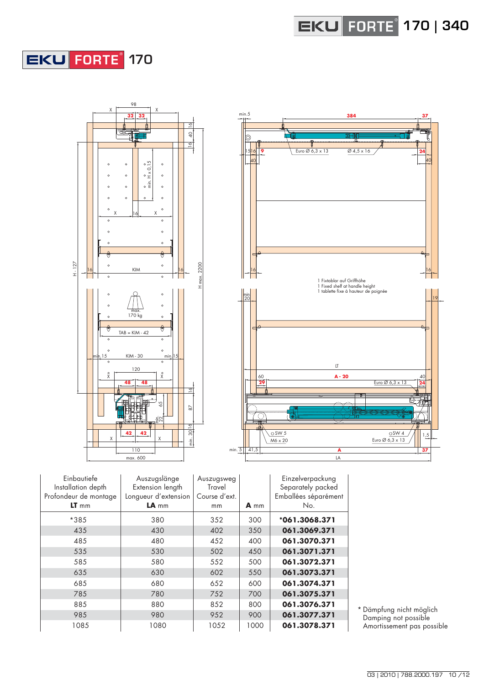## **FORTE** ® **170**



| Einbautiefe<br>Installation depth<br>Profondeur de montage | Auszugslänge<br>Extension length<br>Longueur d'extension | Auszugsweg<br>Travel<br>Course d'ext. |      | Einzelverpackung<br>Separately packed<br>Emballées séparément |
|------------------------------------------------------------|----------------------------------------------------------|---------------------------------------|------|---------------------------------------------------------------|
| $LT$ mm                                                    | $LA$ <sub>mm</sub>                                       | mm                                    | A mm | No.                                                           |
| *385                                                       | 380                                                      | 352                                   | 300  | *061.3068.371                                                 |
| 435                                                        | 430                                                      | 402                                   | 350  | 061.3069.371                                                  |
| 485                                                        | 480                                                      | 452                                   | 400  | 061.3070.371                                                  |
| 535                                                        | 530                                                      | 502                                   | 450  | 061.3071.371                                                  |
| 585                                                        | 580                                                      | 552                                   | 500  | 061.3072.371                                                  |
| 635                                                        | 630                                                      | 602                                   | 550  | 061.3073.371                                                  |
| 685                                                        | 680                                                      | 652                                   | 600  | 061.3074.371                                                  |
| 785                                                        | 780                                                      | 752                                   | 700  | 061.3075.371                                                  |
| 885                                                        | 880                                                      | 852                                   | 800  | 061.3076.371                                                  |
| 985                                                        | 980                                                      | 952                                   | 900  | 061.3077.371                                                  |
| 1085                                                       | 1080                                                     | 1052                                  | 1000 | 061.3078.371                                                  |

\* Dämpfung nicht möglich Damping not possible Amortissement pas possible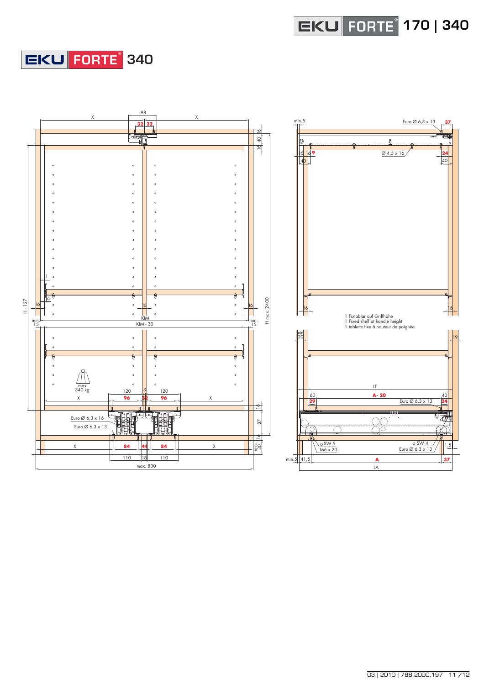